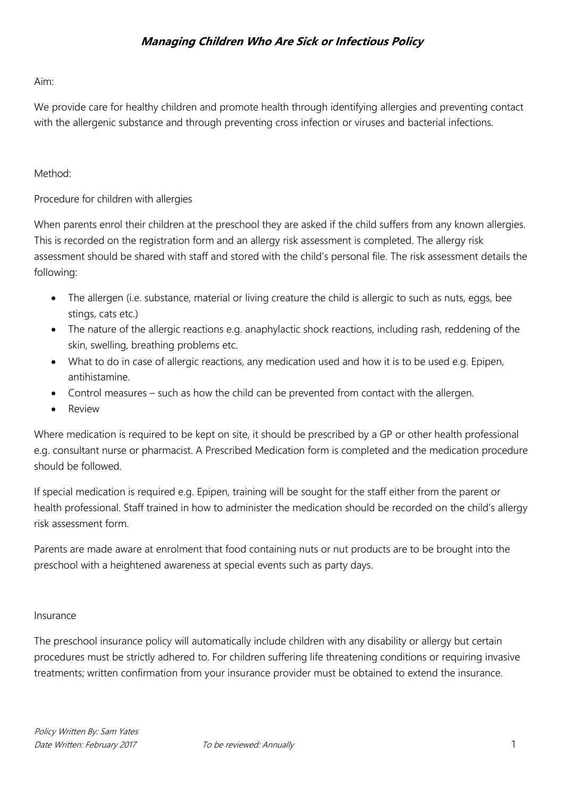#### Aim:

We provide care for healthy children and promote health through identifying allergies and preventing contact with the allergenic substance and through preventing cross infection or viruses and bacterial infections.

### Method<sup>.</sup>

### Procedure for children with allergies

When parents enrol their children at the preschool they are asked if the child suffers from any known allergies. This is recorded on the registration form and an allergy risk assessment is completed. The allergy risk assessment should be shared with staff and stored with the child's personal file. The risk assessment details the following:

- The allergen (i.e. substance, material or living creature the child is allergic to such as nuts, eggs, bee stings, cats etc.)
- The nature of the allergic reactions e.g. anaphylactic shock reactions, including rash, reddening of the skin, swelling, breathing problems etc.
- What to do in case of allergic reactions, any medication used and how it is to be used e.g. Epipen, antihistamine.
- Control measures such as how the child can be prevented from contact with the allergen.
- Review

Where medication is required to be kept on site, it should be prescribed by a GP or other health professional e.g. consultant nurse or pharmacist. A Prescribed Medication form is completed and the medication procedure should be followed.

If special medication is required e.g. Epipen, training will be sought for the staff either from the parent or health professional. Staff trained in how to administer the medication should be recorded on the child's allergy risk assessment form.

Parents are made aware at enrolment that food containing nuts or nut products are to be brought into the preschool with a heightened awareness at special events such as party days.

#### Insurance

The preschool insurance policy will automatically include children with any disability or allergy but certain procedures must be strictly adhered to. For children suffering life threatening conditions or requiring invasive treatments; written confirmation from your insurance provider must be obtained to extend the insurance.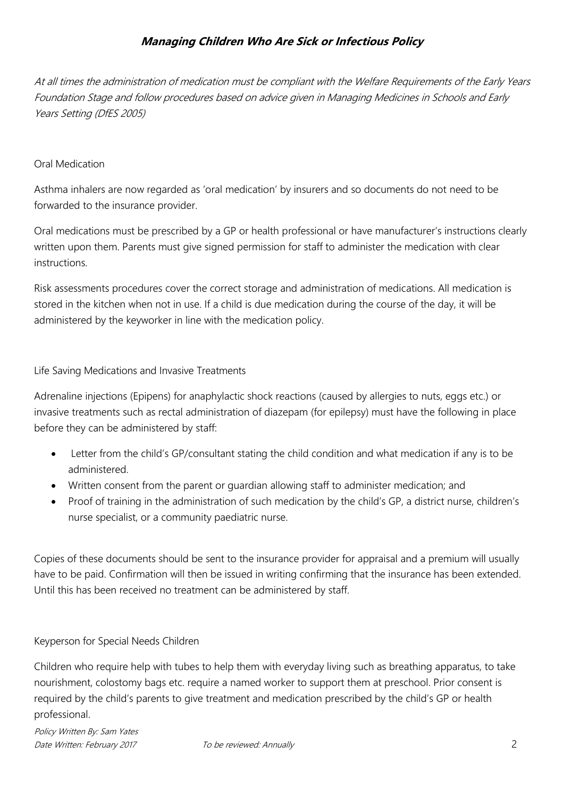At all times the administration of medication must be compliant with the Welfare Requirements of the Early Years Foundation Stage and follow procedures based on advice given in Managing Medicines in Schools and Early Years Setting (DfES 2005)

### Oral Medication

Asthma inhalers are now regarded as 'oral medication' by insurers and so documents do not need to be forwarded to the insurance provider.

Oral medications must be prescribed by a GP or health professional or have manufacturer's instructions clearly written upon them. Parents must give signed permission for staff to administer the medication with clear instructions.

Risk assessments procedures cover the correct storage and administration of medications. All medication is stored in the kitchen when not in use. If a child is due medication during the course of the day, it will be administered by the keyworker in line with the medication policy.

Life Saving Medications and Invasive Treatments

Adrenaline injections (Epipens) for anaphylactic shock reactions (caused by allergies to nuts, eggs etc.) or invasive treatments such as rectal administration of diazepam (for epilepsy) must have the following in place before they can be administered by staff:

- Letter from the child's GP/consultant stating the child condition and what medication if any is to be administered.
- Written consent from the parent or guardian allowing staff to administer medication; and
- Proof of training in the administration of such medication by the child's GP, a district nurse, children's nurse specialist, or a community paediatric nurse.

Copies of these documents should be sent to the insurance provider for appraisal and a premium will usually have to be paid. Confirmation will then be issued in writing confirming that the insurance has been extended. Until this has been received no treatment can be administered by staff.

### Keyperson for Special Needs Children

Children who require help with tubes to help them with everyday living such as breathing apparatus, to take nourishment, colostomy bags etc. require a named worker to support them at preschool. Prior consent is required by the child's parents to give treatment and medication prescribed by the child's GP or health professional.

Policy Written By: Sam Yates Date Written: February 2017 To be reviewed: Annually 2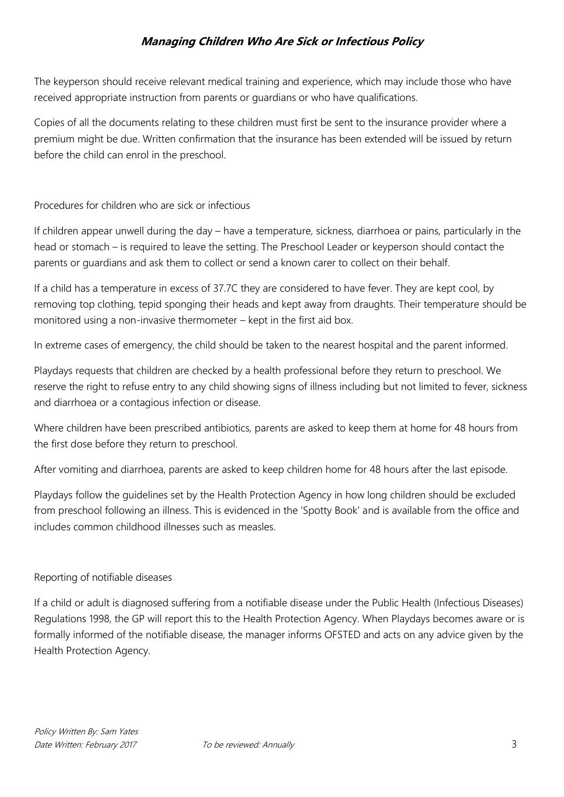The keyperson should receive relevant medical training and experience, which may include those who have received appropriate instruction from parents or guardians or who have qualifications.

Copies of all the documents relating to these children must first be sent to the insurance provider where a premium might be due. Written confirmation that the insurance has been extended will be issued by return before the child can enrol in the preschool.

## Procedures for children who are sick or infectious

If children appear unwell during the day – have a temperature, sickness, diarrhoea or pains, particularly in the head or stomach – is required to leave the setting. The Preschool Leader or keyperson should contact the parents or guardians and ask them to collect or send a known carer to collect on their behalf.

If a child has a temperature in excess of 37.7C they are considered to have fever. They are kept cool, by removing top clothing, tepid sponging their heads and kept away from draughts. Their temperature should be monitored using a non-invasive thermometer – kept in the first aid box.

In extreme cases of emergency, the child should be taken to the nearest hospital and the parent informed.

Playdays requests that children are checked by a health professional before they return to preschool. We reserve the right to refuse entry to any child showing signs of illness including but not limited to fever, sickness and diarrhoea or a contagious infection or disease.

Where children have been prescribed antibiotics, parents are asked to keep them at home for 48 hours from the first dose before they return to preschool.

After vomiting and diarrhoea, parents are asked to keep children home for 48 hours after the last episode.

Playdays follow the guidelines set by the Health Protection Agency in how long children should be excluded from preschool following an illness. This is evidenced in the 'Spotty Book' and is available from the office and includes common childhood illnesses such as measles.

#### Reporting of notifiable diseases

If a child or adult is diagnosed suffering from a notifiable disease under the Public Health (Infectious Diseases) Regulations 1998, the GP will report this to the Health Protection Agency. When Playdays becomes aware or is formally informed of the notifiable disease, the manager informs OFSTED and acts on any advice given by the Health Protection Agency.